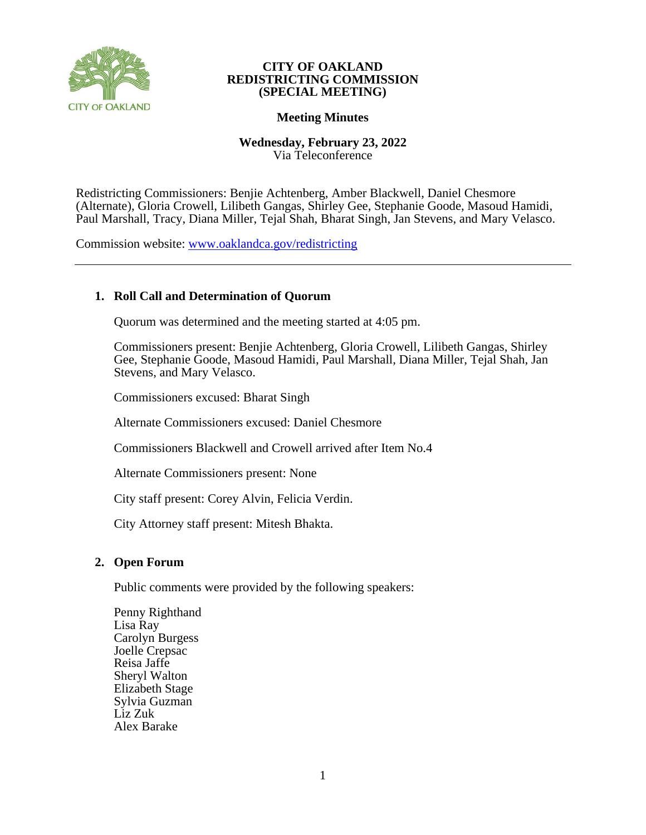

# **CITY OF OAKLAND REDISTRICTING COMMISSION (SPECIAL MEETING)**

# **Meeting Minutes**

## **Wednesday, February 23, 2022** Via Teleconference

Redistricting Commissioners: Benjie Achtenberg, Amber Blackwell, Daniel Chesmore (Alternate), Gloria Crowell, Lilibeth Gangas, Shirley Gee, Stephanie Goode, Masoud Hamidi, Paul Marshall, Tracy, Diana Miller, Tejal Shah, Bharat Singh, Jan Stevens, and Mary Velasco.

Commission website: [www.oaklandca.gov/redistricting](https://www.oaklandca.gov/boards-commissions/redistricting-commission/meetings)

# **1. Roll Call and Determination of Quorum**

Quorum was determined and the meeting started at 4:05 pm.

Commissioners present: Benjie Achtenberg, Gloria Crowell, Lilibeth Gangas, Shirley Gee, Stephanie Goode, Masoud Hamidi, Paul Marshall, Diana Miller, Tejal Shah, Jan Stevens, and Mary Velasco.

Commissioners excused: Bharat Singh

Alternate Commissioners excused: Daniel Chesmore

Commissioners Blackwell and Crowell arrived after Item No.4

Alternate Commissioners present: None

City staff present: Corey Alvin, Felicia Verdin.

City Attorney staff present: Mitesh Bhakta.

# **2. Open Forum**

Public comments were provided by the following speakers:

Penny Righthand Lisa Ray Carolyn Burgess Joelle Crepsac Reisa Jaffe Sheryl Walton Elizabeth Stage Sylvia Guzman Liz Zuk Alex Barake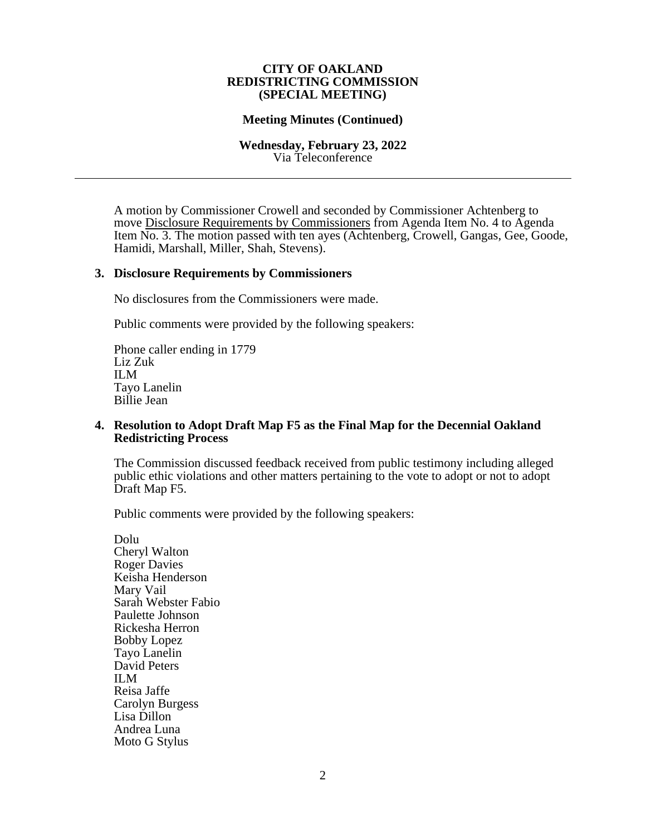#### **CITY OF OAKLAND REDISTRICTING COMMISSION (SPECIAL MEETING)**

## **Meeting Minutes (Continued)**

#### **Wednesday, February 23, 2022** Via Teleconference

A motion by Commissioner Crowell and seconded by Commissioner Achtenberg to move Disclosure Requirements by Commissioners from Agenda Item No. 4 to Agenda Item No. 3. The motion passed with ten ayes (Achtenberg, Crowell, Gangas, Gee, Goode, Hamidi, Marshall, Miller, Shah, Stevens).

#### **3. Disclosure Requirements by Commissioners**

No disclosures from the Commissioners were made.

Public comments were provided by the following speakers:

Phone caller ending in 1779 Liz Zuk ILM Tayo Lanelin Billie Jean

## **4. Resolution to Adopt Draft Map F5 as the Final Map for the Decennial Oakland Redistricting Process**

The Commission discussed feedback received from public testimony including alleged public ethic violations and other matters pertaining to the vote to adopt or not to adopt Draft Map F5.

Public comments were provided by the following speakers:

Dolu Cheryl Walton Roger Davies Keisha Henderson Mary Vail Sarah Webster Fabio Paulette Johnson Rickesha Herron Bobby Lopez Tayo Lanelin David Peters ILM Reisa Jaffe Carolyn Burgess Lisa Dillon Andrea Luna Moto G Stylus